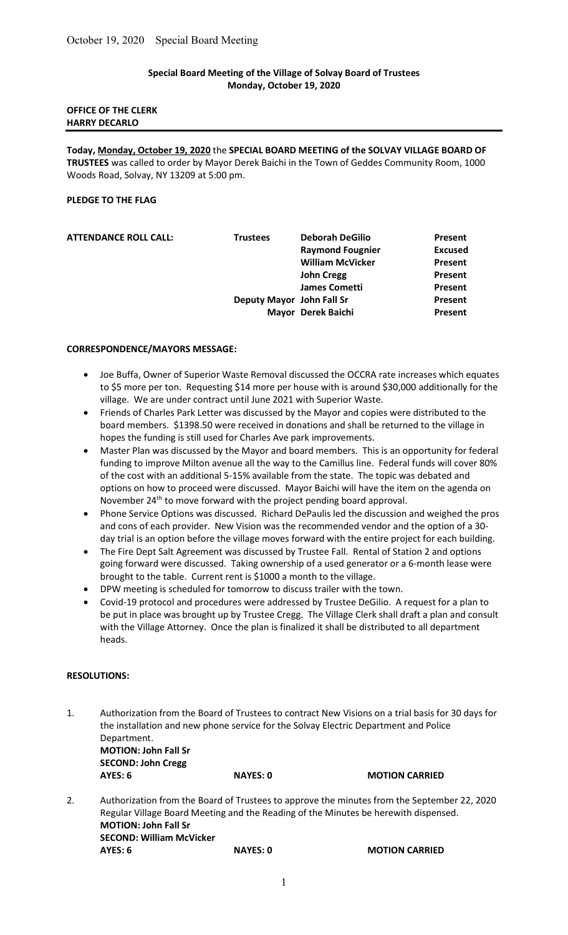# Special Board Meeting of the Village of Solvay Board of Trustees Monday, October 19, 2020

## OFFICE OF THE CLERK HARRY DECARLO

Today, Monday, October 19, 2020 the SPECIAL BOARD MEETING of the SOLVAY VILLAGE BOARD OF TRUSTEES was called to order by Mayor Derek Baichi in the Town of Geddes Community Room, 1000 Woods Road, Solvay, NY 13209 at 5:00 pm.

# PLEDGE TO THE FLAG

| <b>ATTENDANCE ROLL CALL:</b> | <b>Trustees</b>           | <b>Deborah DeGilio</b>  | Present        |
|------------------------------|---------------------------|-------------------------|----------------|
|                              |                           | <b>Raymond Fougnier</b> | <b>Excused</b> |
|                              |                           | <b>William McVicker</b> | Present        |
|                              |                           | <b>John Cregg</b>       | Present        |
|                              |                           | <b>James Cometti</b>    | Present        |
|                              | Deputy Mayor John Fall Sr |                         | Present        |
|                              |                           | Mayor Derek Baichi      | Present        |
|                              |                           |                         |                |

#### CORRESPONDENCE/MAYORS MESSAGE:

- Joe Buffa, Owner of Superior Waste Removal discussed the OCCRA rate increases which equates to \$5 more per ton. Requesting \$14 more per house with is around \$30,000 additionally for the village. We are under contract until June 2021 with Superior Waste.
- Friends of Charles Park Letter was discussed by the Mayor and copies were distributed to the board members. \$1398.50 were received in donations and shall be returned to the village in hopes the funding is still used for Charles Ave park improvements.
- Master Plan was discussed by the Mayor and board members. This is an opportunity for federal funding to improve Milton avenue all the way to the Camillus line. Federal funds will cover 80% of the cost with an additional 5-15% available from the state. The topic was debated and options on how to proceed were discussed. Mayor Baichi will have the item on the agenda on November 24<sup>th</sup> to move forward with the project pending board approval.
- Phone Service Options was discussed. Richard DePaulis led the discussion and weighed the pros and cons of each provider. New Vision was the recommended vendor and the option of a 30 day trial is an option before the village moves forward with the entire project for each building.
- The Fire Dept Salt Agreement was discussed by Trustee Fall. Rental of Station 2 and options going forward were discussed. Taking ownership of a used generator or a 6-month lease were brought to the table. Current rent is \$1000 a month to the village.
- DPW meeting is scheduled for tomorrow to discuss trailer with the town.
- Covid-19 protocol and procedures were addressed by Trustee DeGilio. A request for a plan to be put in place was brought up by Trustee Cregg. The Village Clerk shall draft a plan and consult with the Village Attorney. Once the plan is finalized it shall be distributed to all department heads.

## RESOLUTIONS:

1. Authorization from the Board of Trustees to contract New Visions on a trial basis for 30 days for the installation and new phone service for the Solvay Electric Department and Police Department. MOTION: John Fall Sr SECOND: John Cregg AYES: 6 NAYES: 0 MOTION CARRIED 2. Authorization from the Board of Trustees to approve the minutes from the September 22, 2020 Regular Village Board Meeting and the Reading of the Minutes be herewith dispensed. MOTION: John Fall Sr SECOND: William McVicker